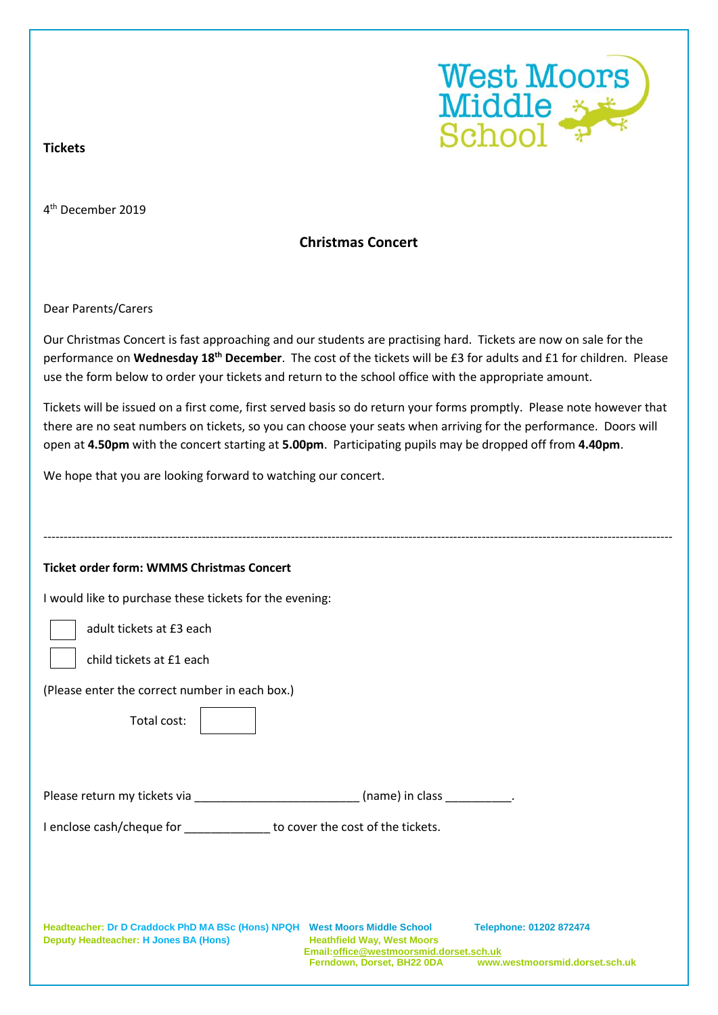

## **Tickets**

4 th December 2019

## **Christmas Concert**

Dear Parents/Carers

Our Christmas Concert is fast approaching and our students are practising hard. Tickets are now on sale for the performance on **Wednesday 18th December**. The cost of the tickets will be £3 for adults and £1 for children. Please use the form below to order your tickets and return to the school office with the appropriate amount.

Tickets will be issued on a first come, first served basis so do return your forms promptly. Please note however that there are no seat numbers on tickets, so you can choose your seats when arriving for the performance. Doors will open at **4.50pm** with the concert starting at **5.00pm**. Participating pupils may be dropped off from **4.40pm**.

We hope that you are looking forward to watching our concert.